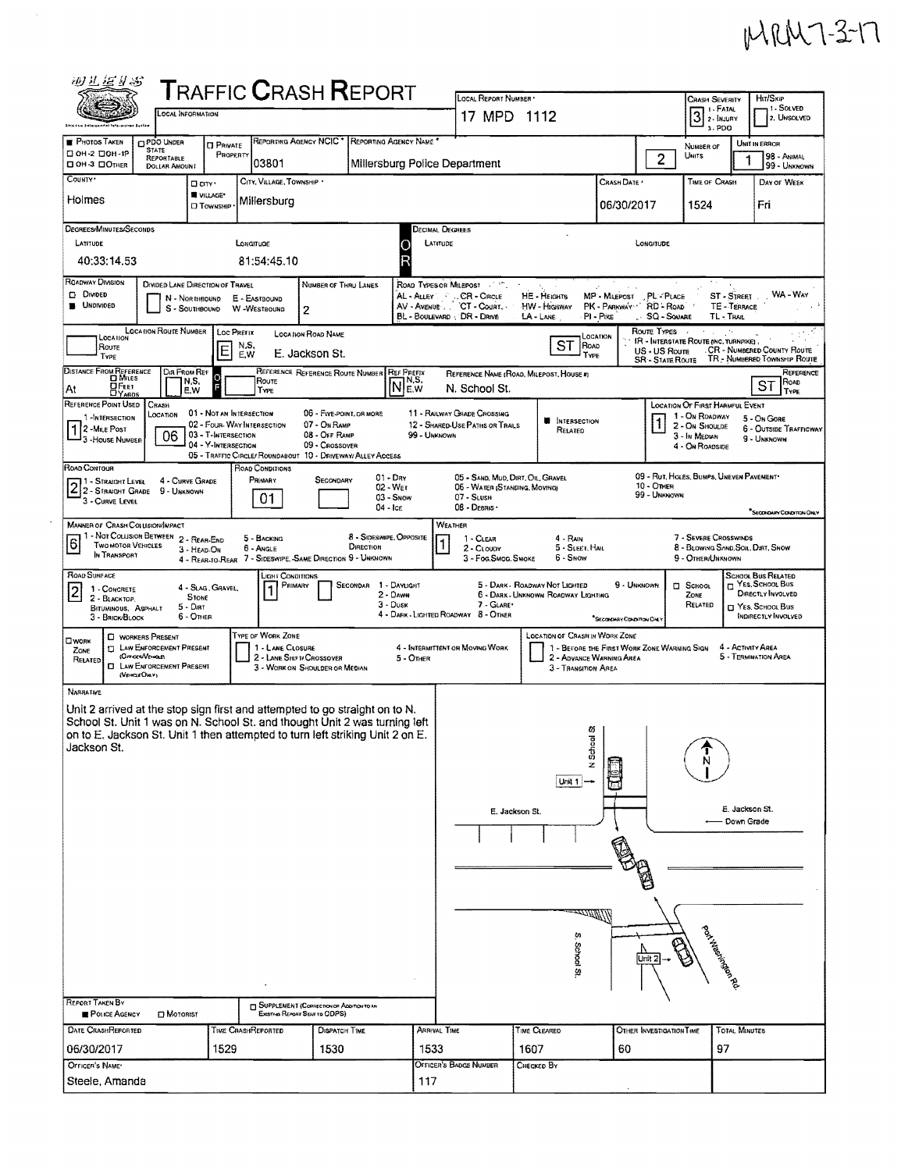## MRM7-3-17

|                                                              | 砂儿运业器                                                                                                                                 |                                                                  |                                                                        |                                                                                           |                                                                                    | <b>T</b> RAFFIC <b>C</b> RASH <b>R</b> EPORT                                                                                                                | LOCAL REPORT NUMBER                                                                                            |                                                                                                                                         |                                                      |                                                         | <b>CRASH SEVERITY</b>                                                                                          |                                | Htt/Skip                                                                                                       |
|--------------------------------------------------------------|---------------------------------------------------------------------------------------------------------------------------------------|------------------------------------------------------------------|------------------------------------------------------------------------|-------------------------------------------------------------------------------------------|------------------------------------------------------------------------------------|-------------------------------------------------------------------------------------------------------------------------------------------------------------|----------------------------------------------------------------------------------------------------------------|-----------------------------------------------------------------------------------------------------------------------------------------|------------------------------------------------------|---------------------------------------------------------|----------------------------------------------------------------------------------------------------------------|--------------------------------|----------------------------------------------------------------------------------------------------------------|
|                                                              |                                                                                                                                       | <b>CCAL INFORMATION</b>                                          |                                                                        |                                                                                           |                                                                                    |                                                                                                                                                             | 17 MPD 1112                                                                                                    |                                                                                                                                         |                                                      |                                                         | 1 - FATAL<br>$3$ $\frac{1}{2}$ - $\frac{1}{2}$ - $\frac{1}{2}$<br>3. PDO                                       |                                | 1 - SOLVED<br>2. UNSOLVED                                                                                      |
| <b>PHOTOS TAKEN</b><br>□ ОН-2 □ ОН-1Р<br><b>DOH-3 DOTHER</b> |                                                                                                                                       | <b>DPDO UNDER</b><br><b>STATE</b><br>REPORTABLE<br>DOLLAR AMOUNT | <b>CI PRIVATE</b><br>PROPERTY                                          | REPORTING AGENCY NCIC <sup>+</sup><br>03801                                               |                                                                                    | REPORTING AGENCY NAME *<br>Millersburg Police Department                                                                                                    |                                                                                                                |                                                                                                                                         |                                                      | 2                                                       | NUMBER OF<br>Uwits                                                                                             |                                | UNIT IN ERROR<br>98 - ANIMAL<br>99 - UNKNOWN                                                                   |
| COUNTY <sup>.</sup><br>Holmes                                |                                                                                                                                       |                                                                  | □ cm·<br>W VILLAGE*<br><b>CI TOWNSHIP</b>                              | CITY, VILLAGE, TOWNSHIP<br>Millersburg                                                    |                                                                                    |                                                                                                                                                             |                                                                                                                |                                                                                                                                         | CRASH DATE<br>06/30/2017                             |                                                         | TIME OF CRASH<br>1524                                                                                          |                                | DAY OF WEEK<br>Fri                                                                                             |
| LATITUDE                                                     | DEGREES/MINUTES/SECONDS<br>40:33:14.53                                                                                                |                                                                  |                                                                        | LONGITUDE<br>81:54:45.10                                                                  |                                                                                    |                                                                                                                                                             | DECIMAL DEGREES<br>LATITUDE                                                                                    |                                                                                                                                         |                                                      | LONGITUDE                                               |                                                                                                                |                                |                                                                                                                |
| ROADWAY DIVISION<br>D Divided<br><b>UNDIVIDED</b>            |                                                                                                                                       |                                                                  | DIVIDED LANE DIRECTION OF TRAVEL<br>N - NORTHBOUND E - EASTBOUND       | S - SOUTHBOUND W -WESTBOUND                                                               | NUMBER OF THRU LANES<br>2                                                          |                                                                                                                                                             | ROAD TYPES OR MILEPOST<br>AL - ALLEY : CR - CIRCLE<br>AV - AVENUE . CT - COURT.<br>BL - BOULEVARD : DR - DRIVE | HE - HEIGHTS<br>HW - HIGHWAY<br>$LA$ - $LANE$                                                                                           | MP - MILEPOST<br>PK - PARKWAY RD - ROAD<br>PI - Pike | PL-PLACE<br>$SSQ-Sc$ uare                               | TL-TRAIL                                                                                                       | TE - TERRACE                   | ST - STREET WA - WAY                                                                                           |
|                                                              | LOCATION<br>ROUTE<br>TYPE<br>DISTANCE FROM REFERENCE                                                                                  | <b>LOCATION ROUTE NUMBER</b><br>DIR FROM REF                     | Loc PREFIX<br>E                                                        | N.S.<br>E.W                                                                               | <b>LOCATION ROAD NAME</b><br>E. Jackson St.                                        | <b>REFERENCE REFERENCE ROUTE NUMBER REF PREFIX</b>                                                                                                          |                                                                                                                | ST<br>ROAD<br>TYPE<br>REFERENCE NAME (ROAD, MILEPOST, HOUSE #)                                                                          | LOCATION                                             | ROUTE TYPES<br>US - US Route<br><b>SR - STATE ROUTE</b> | $\sim$<br>IR - INTERSTATE ROUTE (INC. TURNPIKE)                                                                |                                | CR - NUMBERED COUNTY ROUTE<br>TR - NUMBERED TOWNSHIP ROUTE<br>REFERENCE                                        |
| At                                                           | О Ғеет<br>DYARDS                                                                                                                      | N.S.<br>E.W                                                      |                                                                        | ROUTE<br>TYPE                                                                             |                                                                                    | $\bar{\mathsf{N}} _\mathsf{E,W}^\mathsf{NS}$                                                                                                                | N. School St.                                                                                                  |                                                                                                                                         |                                                      |                                                         |                                                                                                                |                                | <b>ROAD</b><br>ST<br><b>TYPE</b>                                                                               |
| REFERENCE POINT USED<br>2 - MILE POST                        | 1-INTERSECTION<br><sup>1</sup> 3 - House Number                                                                                       | CRASH<br>LOCATION<br>06                                          | 01 - NOT AN INTERSECTION<br>03 - T-INTERSECTION<br>04 - Y-INTERSECTION | 02 - FOUR-WAY INTERSECTION<br>05 - TRAFFIC CIRCLE/ ROUNDABOUT 10 - DRIVEWAY/ ALLEY ACCESS | 06 - FIVE-POINT, OR MORE<br>07 - On RAMP<br>08 - OFF RAMP<br>09 - Crossover        | 99 - UNKNOWN                                                                                                                                                | 11 - RAILWAY GRADE CROSSING<br>12 - SHARED-USE PATHS OR TRAILS                                                 | <b>N</b> INTERSECTION<br>RELATED                                                                                                        |                                                      |                                                         | <b>LOCATION OF FIRST HARMFUL EVENT</b><br>1 - On ROADWAY<br>2 - ON SHOULDE<br>3 - In Median<br>4 - ON ROADSIDE |                                | 5 - On Gore<br><b>6 - OUTSIDE TRAFFICWAY</b><br>9 - UNKNOWN                                                    |
| ROAD CONTOUR                                                 | 2 2 - STRAIGHT LEVEL<br>2 - STRAIGHT GRADE 9 - UNKNOWN<br>3 - CURVE LEVEL                                                             | 4 - CURVE GRADE                                                  |                                                                        | ROAD CONDITIONS<br>PRIMARY<br>01                                                          | SECONDARY                                                                          | $01 - Drx$<br>02 - WET<br>03 - Snow<br>04 - ICE                                                                                                             | 05 - SAND, MUD, DIRT, OIL, GRAVEL<br>06 - WATER (STANDING, MOVING)<br>07 - SLUSH<br>08 - DEBRIS ·              |                                                                                                                                         |                                                      | $10 -$ OTHER<br>99 - UNKNOWN                            | 09 - RUT, HOLES, BUMPS, UNEVEN PAVEMENT                                                                        |                                | "SECONDARY CONDITION ONLY                                                                                      |
| 6                                                            | <b>MANNER OF CRASH COLUSION/IMPACT</b><br>1 - Not Colusion Between 2 - Rear-End<br><b>TWO MOTOR VEHICLES</b><br>IN TRANSPORT          |                                                                  | 3 - HEAD ON                                                            | 5 - BACKING<br>6 - Angle<br>4 - REAR-TO-REAR 7 - SIDESWIPE, -SAME DIRECTION 9 - UNKNOWN   |                                                                                    | 8 - Sideswipe, Opposite<br>DIRECTION                                                                                                                        | WEATHER<br>$1 - C$ LEAR<br>1<br>2 - CLOUDY<br>3 - Fog.Smog.Smoke                                               | 4 - RAIN<br>5 - SLEET, HAIL<br>6 - Snow                                                                                                 |                                                      |                                                         | 7 - SEVERE CROSSWINDS<br>8 - BLOWING SAND SOIL DIRT, SNOW<br>9 - OTHER/UNKNOWN                                 |                                |                                                                                                                |
| <b>ROAD SURFACE</b><br>$\overline{c}$                        | 1 - CONCRETE<br>2 - BLACKTOP.<br>BITUMINOUS, ASPHALT<br>3 - BRICK BLOCK                                                               | $5 -$ Dirt<br>6 - OTHER                                          | 4 - SLAG, GRAVEL,<br><b>STONE</b>                                      | <b>LIGHT CONDITIONS</b><br>PRIMARY                                                        |                                                                                    | SECONDAR 1 - DAYLIGHT<br>2 - DAWN<br>$3 -$ Dusk                                                                                                             | 7 - GLARE*<br>4 - DARK - LIGHTED ROADWAY 8 - OTHER                                                             | 5 - DARK - ROADWAY NOT LIGHTED<br>6 - DARK - UNKNOWN ROADWAY LIGHTING                                                                   | 9 - UNKNOWN<br>"SECONDARY CONDITION ONLY             |                                                         | <b>D</b> SCHOOL<br>ZONE<br>RELATED                                                                             |                                | <b>SCHOOL BUS RELATED</b><br>П YES, SCHOOL Bus<br>DIRECTLY INVOLVED<br>T YES SCHOOL BUS<br>INDIRECTLY INVOLVED |
| OWORK<br>ZONE<br>RELATED                                     | <b>C</b> WORKERS PRESENT<br><b>T LAW ENFORCEMENT PRESENT</b><br>(Orroen/Veraus)<br><b>CI LAW ENFORCEMENT PRESENT</b><br>(VEHOLE OVEY) |                                                                  |                                                                        | TYPE OF WORK ZONE<br>1 - LANE CLOSURE<br>2 - LANE SHIFT/ CROSSOVER                        | 3 - WORK ON SHOULDER OR MEDIAN                                                     | 5 - Other                                                                                                                                                   | 4 - INTERMITTENT OR MOVING WORK                                                                                | <b>LOCATION OF CRASH IN WORK ZONE</b><br>1 - BEFORE THE FIRST WORK ZONE WARNING SIGN<br>2 - ADVANCE WARNING AREA<br>3 - TRANSITION AREA |                                                      |                                                         |                                                                                                                |                                | 4 - ACTIVITY AREA<br>5 - TERMINATION AREA                                                                      |
| NARRATIVE<br>Jackson St.                                     |                                                                                                                                       |                                                                  |                                                                        | Unit 2 arrived at the stop sign first and attempted to go straight on to N.               |                                                                                    | School St. Unit 1 was on N. School St. and thought Unit 2 was turning left<br>on to E. Jackson St. Unit 1 then attempted to turn left striking Unit 2 on E. |                                                                                                                | õ,<br>π<br>N Scho                                                                                                                       |                                                      |                                                         | N                                                                                                              |                                |                                                                                                                |
|                                                              |                                                                                                                                       |                                                                  |                                                                        |                                                                                           |                                                                                    |                                                                                                                                                             | E. Jackson St.                                                                                                 | Unit 1<br>47. June 2<br>ç,<br>School St                                                                                                 |                                                      | Unit 2                                                  | pot tree indumental                                                                                            | E. Jackson St.<br>— Down Grade |                                                                                                                |
| <b>REPORT TAKEN BY</b>                                       | POLICE AGENCY                                                                                                                         | <b>D</b> MOTORIST                                                |                                                                        |                                                                                           | <b>T SUPPLEMENT (CORRECTION OF ADDITION TO AN</b><br>EXISTING REPORT SENT TO ODPS) |                                                                                                                                                             |                                                                                                                |                                                                                                                                         |                                                      |                                                         |                                                                                                                |                                |                                                                                                                |
| DATE CRASHREPORTED<br>06/30/2017                             |                                                                                                                                       |                                                                  | 1529                                                                   | TIME CRASHREPORTED                                                                        | DISPATCH TIME<br>1530                                                              | 1533                                                                                                                                                        | ARRIVAL TIME<br>OFFICER'S BADGE NUMBER                                                                         | TIME CLEARED<br>1607                                                                                                                    | 60                                                   | OTHER INVESTIGATION TIME                                | 97                                                                                                             | <b>TOTAL MINUTES</b>           |                                                                                                                |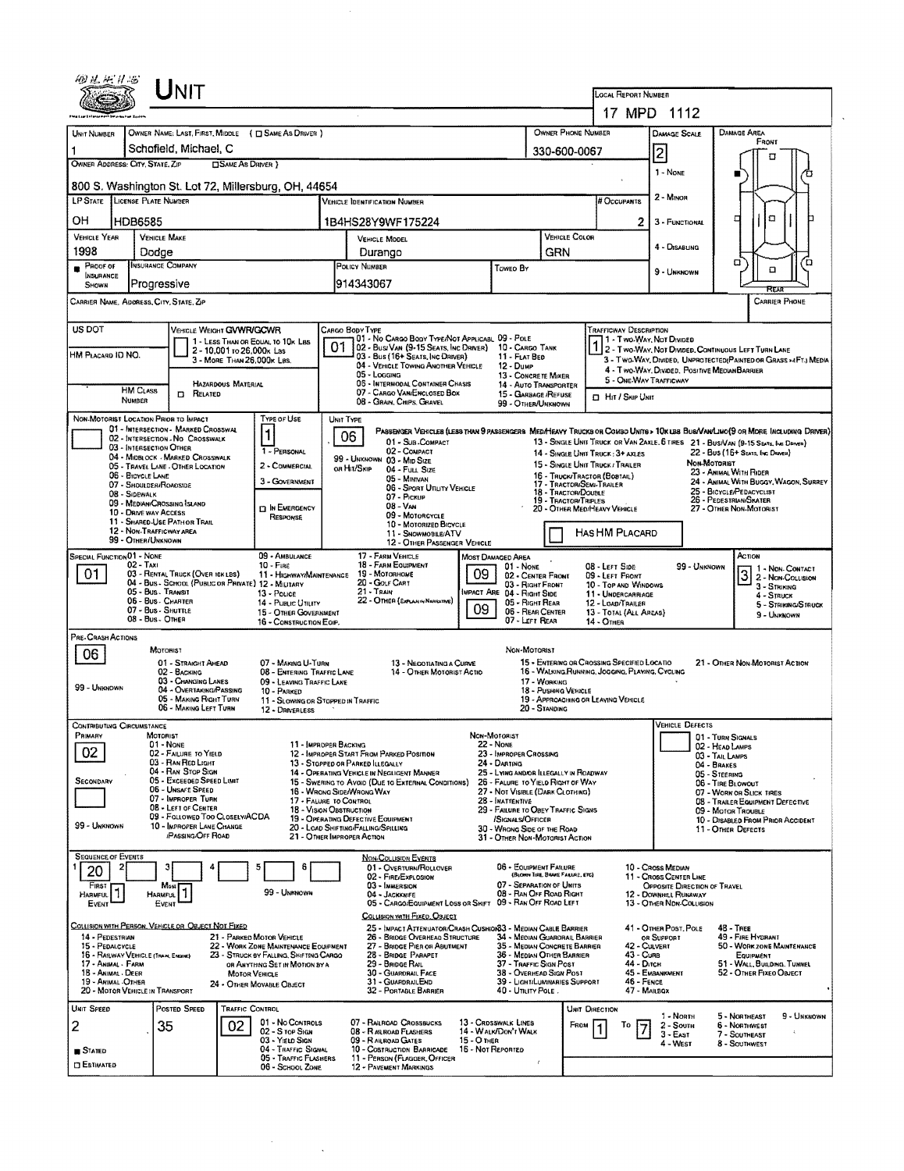|                                                                                                                                                                                                                                                                                                                                                                                                                                                                                                                                                    |                | UNIT                                                                                                                                                                       |                       |                                                                                                                                                                            |                                                                                                                                                                                                                                                                                                                                   |                                                                                                                                                                                                                                                                                                                                                                                                                                                                                                                                                                                                                                                                         |                                    |                                                                                                                                                                                                        |                                                                             | <b>LOCAL REPORT NUMBER</b><br>17 MPD 1112                                                                                                                                                                                                                                                                                                                                                                                                                                                                                                                                                                                                                                 |                                                                                                                                                                                                                                                                                         |                              |                                                                                                                                     |                                                                                                            |             |  |
|----------------------------------------------------------------------------------------------------------------------------------------------------------------------------------------------------------------------------------------------------------------------------------------------------------------------------------------------------------------------------------------------------------------------------------------------------------------------------------------------------------------------------------------------------|----------------|----------------------------------------------------------------------------------------------------------------------------------------------------------------------------|-----------------------|----------------------------------------------------------------------------------------------------------------------------------------------------------------------------|-----------------------------------------------------------------------------------------------------------------------------------------------------------------------------------------------------------------------------------------------------------------------------------------------------------------------------------|-------------------------------------------------------------------------------------------------------------------------------------------------------------------------------------------------------------------------------------------------------------------------------------------------------------------------------------------------------------------------------------------------------------------------------------------------------------------------------------------------------------------------------------------------------------------------------------------------------------------------------------------------------------------------|------------------------------------|--------------------------------------------------------------------------------------------------------------------------------------------------------------------------------------------------------|-----------------------------------------------------------------------------|---------------------------------------------------------------------------------------------------------------------------------------------------------------------------------------------------------------------------------------------------------------------------------------------------------------------------------------------------------------------------------------------------------------------------------------------------------------------------------------------------------------------------------------------------------------------------------------------------------------------------------------------------------------------------|-----------------------------------------------------------------------------------------------------------------------------------------------------------------------------------------------------------------------------------------------------------------------------------------|------------------------------|-------------------------------------------------------------------------------------------------------------------------------------|------------------------------------------------------------------------------------------------------------|-------------|--|
|                                                                                                                                                                                                                                                                                                                                                                                                                                                                                                                                                    |                |                                                                                                                                                                            |                       |                                                                                                                                                                            |                                                                                                                                                                                                                                                                                                                                   |                                                                                                                                                                                                                                                                                                                                                                                                                                                                                                                                                                                                                                                                         |                                    |                                                                                                                                                                                                        |                                                                             |                                                                                                                                                                                                                                                                                                                                                                                                                                                                                                                                                                                                                                                                           |                                                                                                                                                                                                                                                                                         |                              |                                                                                                                                     |                                                                                                            |             |  |
| UNIT NUMBER<br>1                                                                                                                                                                                                                                                                                                                                                                                                                                                                                                                                   |                | Schofield, Michael, C                                                                                                                                                      |                       | OWNER NAME: LAST, FIRST, MIDDLE ( C SAME AS DRIVER )                                                                                                                       |                                                                                                                                                                                                                                                                                                                                   |                                                                                                                                                                                                                                                                                                                                                                                                                                                                                                                                                                                                                                                                         | OWNER PHONE NUMBER<br>330-600-0067 |                                                                                                                                                                                                        |                                                                             |                                                                                                                                                                                                                                                                                                                                                                                                                                                                                                                                                                                                                                                                           |                                                                                                                                                                                                                                                                                         | <b>DAMAGE SCALE</b>          | DAMAGE AREA<br>FRONT<br>п                                                                                                           |                                                                                                            |             |  |
| OWNER ADDRESS: CITY, STATE, ZIP                                                                                                                                                                                                                                                                                                                                                                                                                                                                                                                    |                |                                                                                                                                                                            | SAME AS DRIVER }      |                                                                                                                                                                            |                                                                                                                                                                                                                                                                                                                                   |                                                                                                                                                                                                                                                                                                                                                                                                                                                                                                                                                                                                                                                                         |                                    |                                                                                                                                                                                                        |                                                                             |                                                                                                                                                                                                                                                                                                                                                                                                                                                                                                                                                                                                                                                                           | 2<br>1 - NONE                                                                                                                                                                                                                                                                           |                              |                                                                                                                                     |                                                                                                            | ъ           |  |
| LP STATE LICENSE PLATE NUMBER                                                                                                                                                                                                                                                                                                                                                                                                                                                                                                                      |                |                                                                                                                                                                            |                       | 800 S. Washington St. Lot 72, Millersburg, OH, 44654                                                                                                                       |                                                                                                                                                                                                                                                                                                                                   | VEHICLE IDENTIFICATION NUMBER                                                                                                                                                                                                                                                                                                                                                                                                                                                                                                                                                                                                                                           |                                    |                                                                                                                                                                                                        |                                                                             | # Occupants                                                                                                                                                                                                                                                                                                                                                                                                                                                                                                                                                                                                                                                               | $2 -$ MINOR                                                                                                                                                                                                                                                                             |                              |                                                                                                                                     |                                                                                                            |             |  |
| OН                                                                                                                                                                                                                                                                                                                                                                                                                                                                                                                                                 | <b>HDB6585</b> |                                                                                                                                                                            |                       |                                                                                                                                                                            |                                                                                                                                                                                                                                                                                                                                   | 1B4HS28Y9WF175224                                                                                                                                                                                                                                                                                                                                                                                                                                                                                                                                                                                                                                                       |                                    |                                                                                                                                                                                                        |                                                                             | 2                                                                                                                                                                                                                                                                                                                                                                                                                                                                                                                                                                                                                                                                         | 3 - FUNCTIONAL                                                                                                                                                                                                                                                                          |                              | □                                                                                                                                   | $\Box$                                                                                                     |             |  |
| <b>VEHICLE YEAR</b><br>1998                                                                                                                                                                                                                                                                                                                                                                                                                                                                                                                        |                | <b>VEHICLE MAKE</b><br>Dodge                                                                                                                                               |                       |                                                                                                                                                                            | VEHICLE MODEL<br>Durango                                                                                                                                                                                                                                                                                                          |                                                                                                                                                                                                                                                                                                                                                                                                                                                                                                                                                                                                                                                                         |                                    |                                                                                                                                                                                                        | <b>VEHICLE COLOR</b><br>GRN                                                 |                                                                                                                                                                                                                                                                                                                                                                                                                                                                                                                                                                                                                                                                           |                                                                                                                                                                                                                                                                                         | 4 - DISABUNG                 |                                                                                                                                     |                                                                                                            |             |  |
| PROOF OF<br><b>INSURANCE</b>                                                                                                                                                                                                                                                                                                                                                                                                                                                                                                                       |                | <b>INSURANCE COMPANY</b>                                                                                                                                                   |                       |                                                                                                                                                                            | POLICY NUMBER                                                                                                                                                                                                                                                                                                                     |                                                                                                                                                                                                                                                                                                                                                                                                                                                                                                                                                                                                                                                                         |                                    | Toweo By                                                                                                                                                                                               |                                                                             |                                                                                                                                                                                                                                                                                                                                                                                                                                                                                                                                                                                                                                                                           |                                                                                                                                                                                                                                                                                         | 9 - UNKNOWN                  | α                                                                                                                                   | 'n<br>o                                                                                                    |             |  |
| SHOWN                                                                                                                                                                                                                                                                                                                                                                                                                                                                                                                                              |                | Progressive<br>CARRIER NAME, ADDRESS, CITY, STATE, ZIP                                                                                                                     |                       |                                                                                                                                                                            |                                                                                                                                                                                                                                                                                                                                   | 914343067                                                                                                                                                                                                                                                                                                                                                                                                                                                                                                                                                                                                                                                               |                                    |                                                                                                                                                                                                        |                                                                             |                                                                                                                                                                                                                                                                                                                                                                                                                                                                                                                                                                                                                                                                           |                                                                                                                                                                                                                                                                                         |                              |                                                                                                                                     | <b>CARRIER PHONE</b>                                                                                       |             |  |
|                                                                                                                                                                                                                                                                                                                                                                                                                                                                                                                                                    |                |                                                                                                                                                                            |                       |                                                                                                                                                                            |                                                                                                                                                                                                                                                                                                                                   |                                                                                                                                                                                                                                                                                                                                                                                                                                                                                                                                                                                                                                                                         |                                    |                                                                                                                                                                                                        |                                                                             |                                                                                                                                                                                                                                                                                                                                                                                                                                                                                                                                                                                                                                                                           |                                                                                                                                                                                                                                                                                         |                              |                                                                                                                                     |                                                                                                            |             |  |
| US DOT<br>VEHICLE WEIGHT GVWR/GCWR<br>1 - LESS THAN OR EQUAL TO 10K LBS<br>2 - 10.001 to 26,000x Las<br>HM PLACARD ID NO.<br>3 - MORE THAN 26,000K LBS.<br>HAZARDOUS MATERIAL<br><b>HM CLASS</b>                                                                                                                                                                                                                                                                                                                                                   |                |                                                                                                                                                                            |                       |                                                                                                                                                                            | CARGO BODY TYPE<br>01 - No CARGO BODY TYPE/NOT APPLICABL 09 - POLE<br>01<br>02 - Busi Van (9-15 Seats, Inc Driver)<br>10 - CARCO TANK<br>03 - Bus (16+ Seats, Inc DRIVER)<br>11 - FLAT BED<br>04 - VEHICLE TOWING ANOTHER VEHICLE<br>12 - DuмP<br>05 - Logging<br>06 - INTERMODAL CONTAINER CHASIS<br>07 - CARGO VAN ENCLOSED BOX |                                                                                                                                                                                                                                                                                                                                                                                                                                                                                                                                                                                                                                                                         |                                    |                                                                                                                                                                                                        | 13 - CONCRETE MIXER<br><b>14 - AUTO TRANSPORTER</b><br>15 - GARBAGE /REFUSE | <b>D</b> Hit / Skip Unit                                                                                                                                                                                                                                                                                                                                                                                                                                                                                                                                                                                                                                                  | <b>TRAFFICWAY DESCRIPTION</b><br>1 1 - T WO-WAY, NOT DIVIDED<br>1 2 - T WO-WAY, NOT DIVIDED, CONTINUOUS LEFT TURN LANE<br>3 - Two-Way, Divided, UNPROTECTED (PAINTED OR GRASS >4FTJ MEDIA<br>4 - Two-Way, Divided, Positive Median Barrier<br>5 - ONE-WAY TRAFFICWAY                    |                              |                                                                                                                                     |                                                                                                            |             |  |
|                                                                                                                                                                                                                                                                                                                                                                                                                                                                                                                                                    | <b>NUMBER</b>  | <b>D</b> RELATED                                                                                                                                                           |                       |                                                                                                                                                                            |                                                                                                                                                                                                                                                                                                                                   | 08 - GRAIN, CHIPS, GRAVEL                                                                                                                                                                                                                                                                                                                                                                                                                                                                                                                                                                                                                                               |                                    | 99 - OTHER/UNKNOWN                                                                                                                                                                                     |                                                                             |                                                                                                                                                                                                                                                                                                                                                                                                                                                                                                                                                                                                                                                                           |                                                                                                                                                                                                                                                                                         |                              |                                                                                                                                     |                                                                                                            |             |  |
| NON-MOTORIST LOCATION PRIOR TO IMPACT<br><b>TYPE OF USE</b><br>01 - INTERSECTION - MARKED CROSSWAL<br>1<br>02 - INTERSECTION - NO CROSSWALK<br>03 - INTERSECTION OTHER<br>1 - PERSONAL<br>04 - MIDBLOCK - MARKED CROSSWALK<br>2 - COMMERCIAL<br>05 - TRAVEL LANE - OTHER LOCATION<br>06 - BICYCLE LANE<br>3 - GOVERNMENT<br>07 - SHOULDER/ROADSIDE<br>08 - Sidewalk<br>09 - MEDIAN CROSSING ISLAND<br><b>DIN EMERGENCY</b><br>10 - DRIVE WAY ACCESS<br>RESPONSE<br>11 - SHARED-USE PATH OR TRAIL<br>12 - NON-TRAFFICWAY AREA<br>99 - OTHER/UNKNOWN |                |                                                                                                                                                                            |                       |                                                                                                                                                                            | UNIT TYPE<br>06<br>01 - SUB-COMPACT<br>02 - COMPACT<br>99 - UNKNOWN 03 - MID SIZE<br>or Hit/Skip<br>04 - Full Size<br>05 - MINIVAN<br>06 - Sport Unuty Vehicle<br>07 - Pickup<br>$08 - V_{AM}$<br>09 - MOTORCYCLE<br>10 - MOTORIZED BICYCLE<br>11 - SNOWMOBILE/ATV<br>12 - OTHER PASSENGER VEHICLE                                |                                                                                                                                                                                                                                                                                                                                                                                                                                                                                                                                                                                                                                                                         |                                    |                                                                                                                                                                                                        |                                                                             | PASSENGER VENICLES (LESS THAN 9 PASSENGERS MED/HEAVY TRUCKS OR COMSO UNITS > 10K LES BUS/VAN/LIMO(9 OR MORE INCLUDING DRIVER)<br>13 - SINGLE UNIT TRUCK OR VAN ZAXLE, 6 TIRES 21 - BUS/VAN (9-15 SEATS, INC DRIVER)<br>22 - Bus (16+ Seats, Inc. Drunes)<br>14 - SINGLE UNIT TRUCK: 3+ AXLES<br>NON-MOTORIST<br>15 - SINGLE UNIT TRUCK / TRAILER<br>23 - ANIMAL WITH RIDER<br>16 - TRUCK/TRACTOR (BOBTAIL)<br>24 - ANIMAL WITH BUGGY, WAGON, SURREY<br>17 - TRACTOR/SEMI-TRAILER<br>25 - BICYCLE/PEDACYCLIST<br>18 - TRACTOR/DOUBLE<br>26 - PEDESTRIAN SKATER<br>19 - TRACTOR/TRIPLES<br>20 - OTHER MEDIHEAVY VEHICLE<br>27 - OTHER NON-MOTORIST<br><b>HAS HM PLACARD</b> |                                                                                                                                                                                                                                                                                         |                              |                                                                                                                                     |                                                                                                            |             |  |
| <b>SPECIAL FUNCTIONO1 - NONE</b><br>01                                                                                                                                                                                                                                                                                                                                                                                                                                                                                                             | 02 - Taxi      | 03 - RENTAL TRUCK (OVER 10KLBS)<br>04 - Bus - School (Public or Private) 12 - Military<br>05 - Bus. Transit<br>06 - Bus - Charter<br>07 - Bus - Shurne<br>08 - Bus - OTHER |                       | 09 - AMBULANCE<br>$10 -$ Fine<br>11 - HIGHWAY/MAINTENANCE<br>13 - Pouce<br>14 - Pusuc Unury<br>15 - OTHER GOVERNMENT<br>16 - CONSTRUCTION EOIP.                            |                                                                                                                                                                                                                                                                                                                                   | 17 - FARM VEHICLE<br>18 - FARM EQUIPMENT<br>19 - MOTORHOME<br>20 - Golf Cart<br>$21 -$ TRAIN<br>22 - OTHER (EXPLAN IN NARRATIVE)                                                                                                                                                                                                                                                                                                                                                                                                                                                                                                                                        | 09<br>09                           | MOST DAMAGED AREA<br>01 - None<br>02 - CENTER FRONT<br>03 - RIGHT FRONT<br>MPACT ARE 04 - RIGHT SIDE<br>05 - RIGHT REAR<br>06 - REAR CENTER<br>07 - LEFT REAR                                          |                                                                             | 08 - LEFT SIDE<br>09 - LEFT FRONT<br>10 - Top and Windows<br>11 - UNDERCARRIAGE<br>12 - LOAD/TRAILER<br>13 - TOTAL (ALL AREAS)<br>14 - OTHER                                                                                                                                                                                                                                                                                                                                                                                                                                                                                                                              |                                                                                                                                                                                                                                                                                         | 99 - UNKNOWN                 | ACTION                                                                                                                              | 1 1 - Non-Contact<br>3 2 - Non-Contact<br>3 - Striking<br>4 - Struck<br>5 - STRIKING/STRUCK<br>9 - Unknown |             |  |
| PRE-CRASH ACTIONS<br>06<br>99 - UNKNOWN                                                                                                                                                                                                                                                                                                                                                                                                                                                                                                            |                | MOTORIST<br>01 - STRAIGHT AHEAD<br>02 - BACKING<br>03 - CHANGING LANES<br>04 - OVERTAKING/PASSING<br>05 - MAKING RIGHT TURN<br>06 - MAKING LEFT TURN                       |                       | 07 - MAKING U-TURN<br>08 - ENTERING TRAFFIC LANE<br>09 - LEAVING TRAFFIC LANE<br>10 - PARKED<br>11 - Slowing or Stopped in Traffic<br>12 - DRIVERLESS                      |                                                                                                                                                                                                                                                                                                                                   | 13 - NEGOTIATING A CURVE<br>14 - OTHER MOTORIST ACTIO                                                                                                                                                                                                                                                                                                                                                                                                                                                                                                                                                                                                                   |                                    | NON-MOTORIST                                                                                                                                                                                           | 17 - WORKING<br>18 - Pushing Venicle<br>20 - STANDING                       | 15 - ENTERING OR CROSSING SPECIFIED LOCATIO<br>16 - WALKING, RUNNING, JOGGING, PLAYING, CYCLING<br>19 - APPROACHING OR LEAVING VEHICLE                                                                                                                                                                                                                                                                                                                                                                                                                                                                                                                                    |                                                                                                                                                                                                                                                                                         |                              | 21 - OTHER NON-MOTORIST ACTION                                                                                                      |                                                                                                            |             |  |
| CONTRIBUTING CIRCUMSTANCE<br>PRIMARY<br>Motorist<br>01 - None<br>11 - IMPROPER BACKING<br>02<br>02 - FAILURE TO YIELD<br>03 - RAN REO LIGHT<br>04 - RAN STOP SIGN<br>05 - Exceeped Speed Limit<br>SECONDARY<br><b>06 - UNSAFE SPEED</b><br>07 - IMPROPER TURN<br>17 - FALURE TO CONTROL<br>08 - LEFT OF CENTER<br>18 - VISION OBSTRUCTION<br>09 - FOLLOWED TOO CLOSELY/ACDA<br>99 - UNKNOWN<br>10 - IMPROPER LANE CHANGE<br><b>PASSING/OFF ROAD</b>                                                                                                |                |                                                                                                                                                                            |                       |                                                                                                                                                                            |                                                                                                                                                                                                                                                                                                                                   | NON-MOTORIST<br><b>22 - Nove</b><br>23 - IMPROPER CROSSING<br>12 - IMPROPER START FROM PARKED POSITION<br>13 - STOPPED OR PARKED ILLEGALLY<br>24 - DARTING<br>14 - OPERATING VEHICLE IN NEGLIGENT MANNER<br>25 - LYING AND/OR ILLEGALLY IN ROADWAY<br>15 - SWERING TO AVOID (DUE TO EXTERNAL CONDITIONS)<br>26 - FALURE TO YIELD RIGHT OF WAY<br>16 - WRONG SIDE/WRONG WAY<br>27 - NOT VISIBLE (DARK CLOTHING)<br>28 - INATTENTIVE<br>29 - FAILURE TO OBEY TRAFFIC SIGNS<br>19 - OPERATING DEFECTIVE EQUIPMENT<br>SIGNALS/OFFICER<br>20 - LOAD SHIFTING/FALLING/SPILLING<br>30 - WRONG SIDE OF THE ROAD<br>21 - OTHER IMPROPER ACTION<br>31 - OTHER NON-MOTORIST ACTION |                                    |                                                                                                                                                                                                        |                                                                             |                                                                                                                                                                                                                                                                                                                                                                                                                                                                                                                                                                                                                                                                           | <b>VEHICLE DEFECTS</b><br>01 - TURN SIGNALS<br>02 - HEAD LAMPS<br>03 - TAIL LAMPS<br>04 - BRAKES<br>05 - STEERING<br>06 - TIRE BLOWOUT<br>07 - WORN OR SLICK TIRES<br>08 - TRAILER EQUIPMENT DEFECTIVE<br>09 - Motor TrousLE<br>10 - DISABLED FROM PRIOR ACCIDENT<br>11 - OTHER DEFECTS |                              |                                                                                                                                     |                                                                                                            |             |  |
| <b>SEQUENCE OF EVENTS</b><br>20<br>FIRST<br>Harmful<br>EVENT                                                                                                                                                                                                                                                                                                                                                                                                                                                                                       |                | Most<br><b>HARMFUL</b><br>EVENT                                                                                                                                            |                       | 6<br>99 - UNKNOWN                                                                                                                                                          |                                                                                                                                                                                                                                                                                                                                   | <b>NON-COLLISION EVENTS</b><br>01 - OVERTURN/ROLLOVER<br>02 - FIRE/EXPLOSION<br>03 - IMMERSION<br>04 - JACKKNIFE<br>05 - CARGO/EQUIPMENT LOSS OR SHIFT 09 - RAN OFF ROAD LEFT<br>COLLISION WITH FIXED, OBJECT                                                                                                                                                                                                                                                                                                                                                                                                                                                           |                                    | 06 - EQUIPMENT FAILURE<br>07 - SEPARATION OF UNITS<br>08 - RAN OFF ROAD RIGHT                                                                                                                          | (BLOWN TIRE, BRAKE FALLIRE, ETC)                                            |                                                                                                                                                                                                                                                                                                                                                                                                                                                                                                                                                                                                                                                                           | 10 - Cross Median<br>11 - Cross CENTER LINE<br>12 - DOWNHILL RUNAWAY<br>13 - OTHER NDR-COLLISION                                                                                                                                                                                        | OPPOSITE DIRECTION OF TRAVEL |                                                                                                                                     |                                                                                                            |             |  |
| 14 - PEDESTRIAN<br>15 - PEDALCYCLE<br>16 - RAILWAY VEHICLE (TRAN, ENGINE)<br>17 - Animal - Farm<br>18 - Animal Deer<br>19 - ANIMAL -OTHER<br>20 - MOTOR VEHICLE IN TRANSPORT                                                                                                                                                                                                                                                                                                                                                                       |                | COLLISION WITH PERSON, VEHICLE OR OBJECT NOT FIXED                                                                                                                         | <b>MOTOR VEHICLE</b>  | 21 - PARKED MOTOR VEHICLE<br>22 - WORK ZONE MAINTENANCE EQUIPMENT<br>23 - STRUCK BY FALLING, SHIFTING CARGO<br>OR ANYTHING SET IN MOTION BY A<br>24 - OTHER MOVABLE OBJECT |                                                                                                                                                                                                                                                                                                                                   | 25 - IMPACT ATTENUATOR/CRASH CUSHIONS3 - MEDIAN CABLE BARRIER<br>26 - BRIDGE OVERHEAD STRUCTURE<br>27 - BRIDGE PIER OR ABUTMENT<br>28 - BRIDGE PARAPET<br>29 - Bridge Rall<br>30 - GUARDRAIL FACE<br>31 - GUARDRAILEND<br>32 - PORTABLE BARRIER                                                                                                                                                                                                                                                                                                                                                                                                                         |                                    | 34 - MEDIAN GUARDRAIL BARRIER<br>35 - MEDIAN CONCRETE BARRIER<br>36 - MEDIAN OTHER BARRIER<br>37 - TRAFFIC SIGN POST<br>38 - OVERHEAD SIGN POST<br>39 - LIGHT/LUMINARIES SUPPORT<br>40 - UTILITY POLE. |                                                                             | 43 - Cuna<br>44 - Олсн<br>46 - FENCE                                                                                                                                                                                                                                                                                                                                                                                                                                                                                                                                                                                                                                      | 41 - OTHER POST, POLE<br>OR SUPPORT<br>42 - Culvert<br>45 - EMBANKMENT<br>47 - MAILBOX                                                                                                                                                                                                  |                              | 48 - Then<br>49 - FIRE HYDRANT<br>50 - WORK ZONE MAINTENANCE<br>EQUIPMENT<br>51 - WALL, BUILDING. TUNNEL<br>52 - OTHER FIXEO OBJECT |                                                                                                            |             |  |
| UNIT SPEED<br>2<br>∎ Stated<br><b>CI ESTIMATED</b>                                                                                                                                                                                                                                                                                                                                                                                                                                                                                                 |                | POSTED SPEED<br>35                                                                                                                                                         | TRAFFIC CONTROL<br>02 | 01 - No Controls<br>02 - S rop Sign<br>03 - YIELD SIGN<br>04 - TRAFFIC SIGNAL<br><b>05 - TRAFFIC FLASHERS</b><br>06 - SCHOOL ZONE                                          |                                                                                                                                                                                                                                                                                                                                   | 07 - RAILROAD CROSSBUCKS<br>08 - RAILROAD FLASHERS<br>09 - RAILROAD GATES<br>10 - COSTRUCTION BARRICADE<br>11 - PERSON (FLAGGER, OFFICER<br>12 - PAVEMENT MARKINGS                                                                                                                                                                                                                                                                                                                                                                                                                                                                                                      | 15 - O THER<br>16 - Not Reported   | 13 - CROSSWALK LINES<br>14 - WALK/DON'T WALK                                                                                                                                                           | FROM                                                                        | UNIT DIRECTION<br>To                                                                                                                                                                                                                                                                                                                                                                                                                                                                                                                                                                                                                                                      | 1 - NORTH<br>2 - South<br>$3 - East$<br>4 - West                                                                                                                                                                                                                                        |                              | 5 - NORTHEAST<br>6 - NORTHWEST<br>7 - SOUTHEAST<br><b>8 - SOUTHWEST</b>                                                             |                                                                                                            | 9 - UNKNOWN |  |

 $\label{eq:2.1} \frac{1}{\sqrt{2}}\int_{0}^{\pi} \frac{1}{\sqrt{2\pi}}\left(\frac{1}{\sqrt{2\pi}}\right)^{2} \frac{1}{\sqrt{2\pi}}\frac{1}{\sqrt{2\pi}}\frac{1}{\sqrt{2\pi}}\frac{1}{\sqrt{2\pi}}\frac{1}{\sqrt{2\pi}}\frac{1}{\sqrt{2\pi}}\frac{1}{\sqrt{2\pi}}\frac{1}{\sqrt{2\pi}}\frac{1}{\sqrt{2\pi}}\frac{1}{\sqrt{2\pi}}\frac{1}{\sqrt{2\pi}}\frac{1}{\sqrt{2\pi}}\frac{1}{\sqrt{2\pi}}\frac{1$ 

 $\sim 10$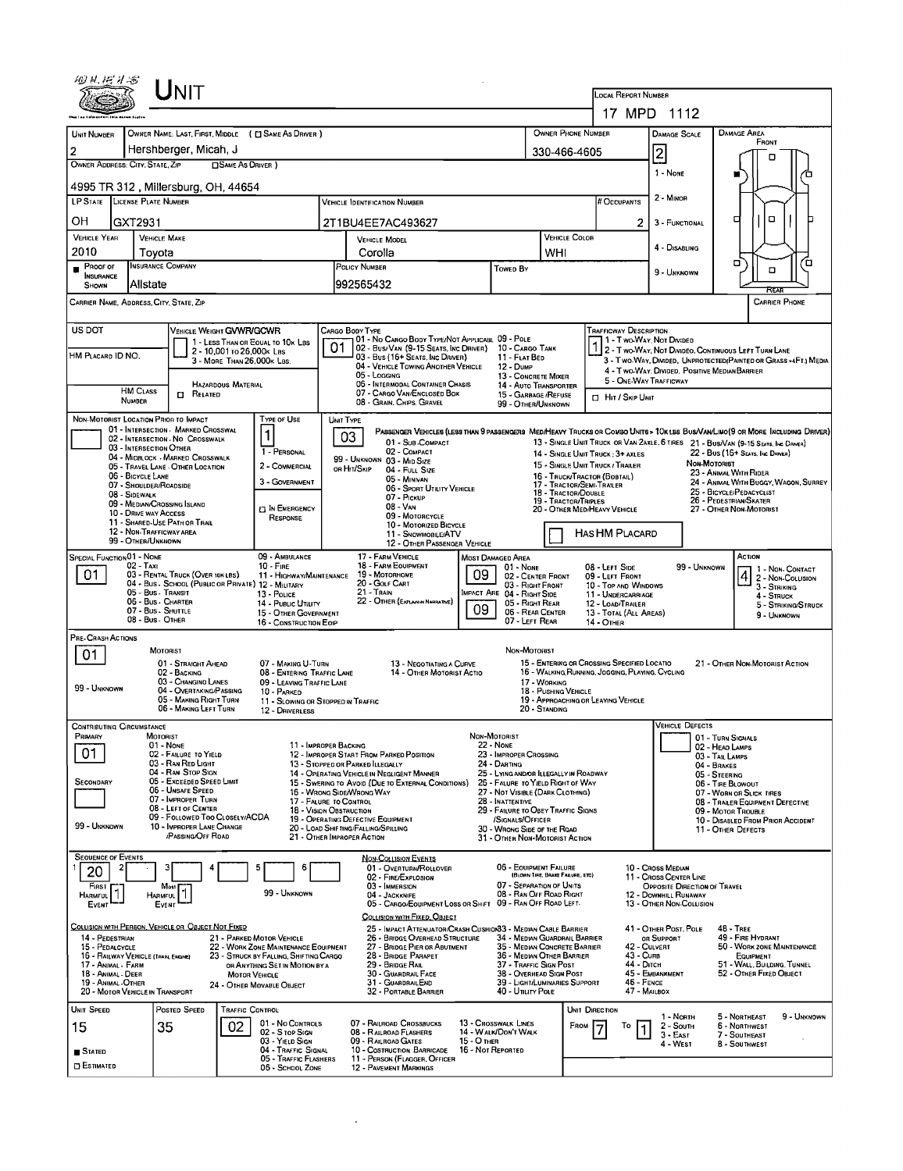|                                                                                | ${\sf UnIT}$                                                |                                                                                 |                                                                                                    |                                                                                                                                                   |                                  |                                                                       |                                       |                                                                      |                                                  |                                                        |                                                        |                                                                                                                   |                                   |  |  |
|--------------------------------------------------------------------------------|-------------------------------------------------------------|---------------------------------------------------------------------------------|----------------------------------------------------------------------------------------------------|---------------------------------------------------------------------------------------------------------------------------------------------------|----------------------------------|-----------------------------------------------------------------------|---------------------------------------|----------------------------------------------------------------------|--------------------------------------------------|--------------------------------------------------------|--------------------------------------------------------|-------------------------------------------------------------------------------------------------------------------|-----------------------------------|--|--|
|                                                                                |                                                             |                                                                                 |                                                                                                    |                                                                                                                                                   |                                  |                                                                       |                                       |                                                                      | LOCAL REPORT NUMBER<br>17 MPD 1112               |                                                        |                                                        |                                                                                                                   |                                   |  |  |
|                                                                                |                                                             |                                                                                 |                                                                                                    |                                                                                                                                                   |                                  |                                                                       |                                       |                                                                      |                                                  |                                                        |                                                        |                                                                                                                   |                                   |  |  |
| UNIT NUMBER                                                                    |                                                             | OWNER NAME: LAST, FIRST, MIDDLE ( C SAME AS DRIVER )                            |                                                                                                    |                                                                                                                                                   |                                  | OWNER PHONE NUMBER                                                    |                                       | <b>DAMAGE SCALE</b>                                                  |                                                  | <b>DAMAGE AREA</b><br>FRONT                            |                                                        |                                                                                                                   |                                   |  |  |
| 2<br>OWNER ADDRESS: CITY, STATE, ZIP                                           | Hershberger, Micah, J                                       | <b>CISAME AS ORIVER</b> )                                                       |                                                                                                    |                                                                                                                                                   |                                  | 330-466-4605                                                          |                                       |                                                                      | 2                                                |                                                        | о                                                      |                                                                                                                   |                                   |  |  |
| 1 - None<br>4995 TR 312, Millersburg, OH, 44654                                |                                                             |                                                                                 |                                                                                                    |                                                                                                                                                   |                                  |                                                                       |                                       |                                                                      |                                                  |                                                        |                                                        |                                                                                                                   |                                   |  |  |
| <b>LP STATE</b> LICENSE PLATE NUMBER                                           |                                                             |                                                                                 |                                                                                                    | # Occupants                                                                                                                                       | 2 - MINOR                        |                                                                       |                                       |                                                                      |                                                  |                                                        |                                                        |                                                                                                                   |                                   |  |  |
| OН<br>GXT2931                                                                  |                                                             |                                                                                 |                                                                                                    | 2T1BU4EE7AC493627                                                                                                                                 |                                  |                                                                       |                                       |                                                                      | 2                                                | 3 - FUNCTIONAL                                         |                                                        | ۰<br>о                                                                                                            |                                   |  |  |
| <b>VEHICLE YEAR</b>                                                            | <b>VEHICLE MAKE</b>                                         |                                                                                 |                                                                                                    | VEHICLE MODEL                                                                                                                                     |                                  |                                                                       |                                       | VEHICLE COLOR                                                        |                                                  | 4 - DISABLING                                          |                                                        |                                                                                                                   |                                   |  |  |
| 2010<br>Proof of                                                               | Tovota<br><b>INSURANCE COMPANY</b>                          |                                                                                 | Corolla<br>POLICY NUMBER<br>Towep By                                                               |                                                                                                                                                   |                                  |                                                                       | WHI                                   |                                                                      |                                                  |                                                        |                                                        | σ<br>ο                                                                                                            | □                                 |  |  |
| <b>INSURANCE</b><br>SHOWN                                                      | Allstate                                                    |                                                                                 |                                                                                                    | 992565432                                                                                                                                         |                                  |                                                                       |                                       |                                                                      |                                                  | 9 - UNKNOWN                                            |                                                        |                                                                                                                   |                                   |  |  |
| CARRIER NAME, ADDRESS, CITY, STATE, ZIP                                        |                                                             |                                                                                 |                                                                                                    |                                                                                                                                                   |                                  |                                                                       |                                       |                                                                      |                                                  |                                                        |                                                        |                                                                                                                   | <b>CARRIER PHONE</b>              |  |  |
| US DOT                                                                         |                                                             | VEHICLE WEIGHT GVWR/GCWR                                                        | CARGO BODY TYPE                                                                                    |                                                                                                                                                   |                                  |                                                                       |                                       |                                                                      | Trafficway Description                           |                                                        |                                                        |                                                                                                                   |                                   |  |  |
|                                                                                |                                                             | 1 - LESS THAN OR EQUAL TO 10K LBS<br>2 - 10,001 to 26,000 k Les                 | 01                                                                                                 | 01 - No CARGO BODY TYPE/NOT APPLICABL 09 - POLE<br>02 - Bus/Van (9-15 Seats, Inc Driver)                                                          |                                  | 10 - CARGO TANK                                                       |                                       |                                                                      | 1 - Two-Way, Not Divided                         |                                                        |                                                        | 2 - Two-Way, Not Divideo, Continuous Left Turn Lane                                                               |                                   |  |  |
| HM PLACARD ID NO.                                                              |                                                             | 3 - MORE THAN 26,000K LBS.                                                      |                                                                                                    | 03 - Bus (16+ Seats, Inc Driver)<br>04 - VEHICLE TOWING ANOTHER VEHICLE                                                                           |                                  | 11 - FLAT BED<br>12 - Dump                                            |                                       |                                                                      |                                                  |                                                        |                                                        | 3 - Two Way, Divided, Unprotected (Painted or Grass >4Ft.) Media<br>4 - Two-Way, Divided, Positive Median Barrier |                                   |  |  |
|                                                                                |                                                             | <b>HAZARDOUS MATERIAL</b>                                                       |                                                                                                    | 05 - Logging<br>06 - INTERMODAL CONTAINER CHASIS                                                                                                  |                                  | 13 - CONCRETE MIXER<br>14 - AUTO TRANSPORTER                          |                                       |                                                                      | 5 - ONE-WAY TRAFFICWAY                           |                                                        |                                                        |                                                                                                                   |                                   |  |  |
| <b>HM CLASS</b><br><b>NUMBER</b>                                               | $\Box$ Related                                              |                                                                                 |                                                                                                    | 07 - CARGO VAN/ENCLOSED BOX<br>08 - GRAIN, CHIPS, GRAVEL                                                                                          |                                  | 15 - GARBAGE / REFUSE<br>99 - OTHER/UNKNOWN                           |                                       |                                                                      | □ Hit / Skip Unit                                |                                                        |                                                        |                                                                                                                   |                                   |  |  |
| NON-MOTORIST LOCATION PRIOR TO IMPACT                                          | 01 - INTERSECTION - MARKED CROSSWAL                         | <b>TYPE OF USE</b>                                                              | <b>UNIT TYPE</b>                                                                                   |                                                                                                                                                   |                                  |                                                                       |                                       |                                                                      |                                                  |                                                        |                                                        |                                                                                                                   |                                   |  |  |
|                                                                                | 02 - INTERSECTION - NO CROSSWALK                            | 1                                                                               | 03                                                                                                 | PASSENGER VEHICLES (LESS THAN 9 PASSENGERS MED/HEAVY TRUCKS OR COMBO UNITS > 10K LBS BUS/VAN/LIMO(9 OR MORE INCLUDING DRIVER)<br>01 - Sub-Compact |                                  |                                                                       |                                       |                                                                      |                                                  |                                                        |                                                        | 13 - SINGLE UNIT TRUCK OR VAN 2AXLE, 6 TIRES 21 - BUS/VAN (9-15 SEATS, INC DAMER)                                 |                                   |  |  |
|                                                                                | 03 - INTERSECTION OTHER<br>04 - MIDBLOCK - MARKED CROSSWALK | 1 - PERSONAL                                                                    |                                                                                                    | 02 - COMPACT<br>99 - UNKNOWN 03 - MID SIZE                                                                                                        |                                  |                                                                       |                                       | 14 - SINGLE UNIT TRUCK: 3+ AXLES<br>15 - SINGLE UNIT TRUCK / TRAILER |                                                  |                                                        | NON-MOTORIST                                           | 22 - Bus (16+ Seats, Inc Driver)                                                                                  |                                   |  |  |
| 06 - BICYCLE LANE                                                              | 05 - TRAVEL LANE - OTHER LOCATION                           | 2 - COMMERCIAL<br>3 - GOVERNMENT                                                | OR HIT/SKIP                                                                                        | 04 - FULL SIZE<br>05 - MINIVAN                                                                                                                    |                                  |                                                                       |                                       | 16 - TRUCK/TRACTOR (BOBTAIL)                                         |                                                  |                                                        |                                                        | 23 - ANIMAL WITH RIDER<br>24 - ANIMAL WITH BUGGY, WAGON, SURREY                                                   |                                   |  |  |
| 08 - SIDEWALK                                                                  | 07 - SHOULDER/ROADSIDE                                      |                                                                                 | 17 - TRACTOR/SEMI-TRAILER<br>06 - SPORT UTILITY VEHICLE<br>18 - TRACTOR/DOUBLE<br>07 - Pickup      |                                                                                                                                                   |                                  |                                                                       |                                       |                                                                      |                                                  |                                                        |                                                        | 25 - BICYCLE/PEDACYCLIST<br>26 - PEDESTRIAN/SKATER                                                                |                                   |  |  |
|                                                                                | 09 - MEDIAN/CROSSING ISLAND<br>10 - DRIVE WAY ACCESS        | <b>IT IN EMERGENCY</b><br>RESPONSE                                              | 19 - TRACTOR/TRIPLES<br>08 - VAN<br>20 - OTHER MED/HEAVY VEHICLE<br>09 - MOTORCYCLE                |                                                                                                                                                   |                                  |                                                                       |                                       |                                                                      |                                                  |                                                        | 27 - OTHER NON-MOTORIST                                |                                                                                                                   |                                   |  |  |
|                                                                                | 11 - SHARED-USE PATH OR TRAIL<br>12 - NON-TRAFFICWAY AREA   |                                                                                 | 10 - MOTORIZED BICYCLE<br>11 - SNOWMOBILE/ATV                                                      |                                                                                                                                                   |                                  |                                                                       |                                       |                                                                      | <b>HAS HM PLACARD</b>                            |                                                        |                                                        |                                                                                                                   |                                   |  |  |
| 99 - OTHER/UNKNOWN<br>12 - OTHER PASSENGER VEHICLE<br><b>MOST DAMAGED AREA</b> |                                                             |                                                                                 |                                                                                                    |                                                                                                                                                   |                                  |                                                                       |                                       |                                                                      |                                                  |                                                        |                                                        |                                                                                                                   |                                   |  |  |
| SPECIAL FUNCTION 01 - NONE<br>02 - Taxi                                        |                                                             | 09 - AMBULANCE<br>$10 -$ Fire                                                   |                                                                                                    | 17 - FARM VEHICLE<br>18 - FARM EQUIPMENT                                                                                                          | 01 - NONE                        |                                                                       | 08 - Lert Side                        |                                                                      | 99 - UNKNOWN                                     | ACTION                                                 | 1 - Non Contact                                        |                                                                                                                   |                                   |  |  |
| 01                                                                             | 03 - RENTAL TRUCK (OVER 10KLBS)                             | 11 - HIGHWAY/MAINTENANCE<br>04 - Bus - SCHOOL (PUBLIC OR PRIVATE) 12 - MILITARY | 09<br>19 - MOTORHOME<br>20 - GOLF CART                                                             |                                                                                                                                                   |                                  |                                                                       | 02 - CENTER FRONT<br>03 - RIGHT FRONT |                                                                      | 09 - LEFT FRONT<br>10 - TOP AND WINDOWS          |                                                        |                                                        |                                                                                                                   | 2 - Non-Collision<br>3 - STRIKING |  |  |
|                                                                                | 05 - Bus - Transit<br>06 - Bus - Charter                    | 13 - Pouce<br>14 - Public UTILITY                                               | 21 - Train<br>MPACT ARE 04 - RIGHT SIDE<br>22 - OTHER (EXPLANN NARRATIVE)<br>05 - RIGHT REAR<br>09 |                                                                                                                                                   |                                  |                                                                       |                                       |                                                                      | 11 - UNDERCARRIAGE<br>12 - LOAD/TRAILER          |                                                        |                                                        |                                                                                                                   | 4 - STRUCK<br>5 - STRIKING/STRUCK |  |  |
|                                                                                | 07 - Bus - Shuttle<br>08 - Bus - OTHER                      | 15 - OTHER GOVERNMENT<br>16 - CONSTRUCTION EOIP                                 | 06 - REAR CENTER<br>07 - LEFT REAR                                                                 |                                                                                                                                                   |                                  |                                                                       |                                       |                                                                      | 13 - TOTAL (ALL AREAS)<br>14 - OTHER             |                                                        |                                                        |                                                                                                                   | 9 - UNKNOWN                       |  |  |
| PRE-CRASH ACTIONS                                                              |                                                             |                                                                                 |                                                                                                    |                                                                                                                                                   |                                  |                                                                       |                                       |                                                                      |                                                  |                                                        |                                                        |                                                                                                                   |                                   |  |  |
| 01                                                                             | <b>MOTORIST</b><br>01 - STRAIGHT AHEAD                      | 07 - MAKING U-TURN                                                              |                                                                                                    | 13 - NEGOTIATING A CURVE                                                                                                                          |                                  | Non-Motorist                                                          |                                       |                                                                      | 15 - ENTERING OR CROSSING SPECIFIED LOCATIO      |                                                        |                                                        | 21 - OTHER NON-MOTORIST ACTION                                                                                    |                                   |  |  |
|                                                                                | 02 - BACKING<br>03 - CHANGINO LANES                         | 08 - ENTERING TRAFFIC LANE<br>09 - LEAVING TRAFFIC LANE                         |                                                                                                    | 14 - OTHER MOTORIST ACTIO                                                                                                                         |                                  |                                                                       | 17 - WORKING                          |                                                                      | 16 - WALKING, RUNNING, JOGGING, PLAYING, CYCLING |                                                        |                                                        |                                                                                                                   |                                   |  |  |
| 99 - UNKNOWN                                                                   | 04 - OVERTAKING/PASSING<br>05 - MAKING RIGHT TURN           | 10 - PARKED<br>11 - Slowing or Stopped in Traffic                               |                                                                                                    |                                                                                                                                                   |                                  |                                                                       | 18 - PUSHING VEHICLE                  |                                                                      | 19 - APPROACHING OR LEAVING VEHICLE              |                                                        |                                                        |                                                                                                                   |                                   |  |  |
|                                                                                | 06 - MAKING LEFT TURN                                       | 12 - DRIVERLESS                                                                 |                                                                                                    |                                                                                                                                                   |                                  |                                                                       | 20 - Standing                         |                                                                      |                                                  |                                                        |                                                        |                                                                                                                   |                                   |  |  |
| <b>CONTRIBUTING CIRCUMSTANCE</b><br>Primary                                    | <b>MOTORIST</b>                                             |                                                                                 |                                                                                                    |                                                                                                                                                   |                                  | NON-MOTORIST                                                          |                                       |                                                                      |                                                  | <b>VEHICLE DEFECTS</b>                                 |                                                        | 01 - TURN SIGNALS                                                                                                 |                                   |  |  |
| 01                                                                             | 01 - None<br>02 - FAILURE TO YIELD                          |                                                                                 | 11 - IMPROPER BACKING                                                                              | 12 - IMPROPER START FROM PARKED POSITION                                                                                                          |                                  | <b>22 - None</b><br>23 - IMPROPER CROSSING                            |                                       |                                                                      |                                                  |                                                        |                                                        | 02 - HEAD LAMPS<br>03 - TAIL LAMPS                                                                                |                                   |  |  |
|                                                                                | 03 - RAN RED LIGHT<br>04 - RAN STOP SIGN                    |                                                                                 | 13 - STOPPED OR PARKED LLEGALLY                                                                    | 14 - OPERATING VEHICLE IN NEGLIGENT MANNER                                                                                                        |                                  | 24 - DARTING<br>25 - LYING AND/OR ILLEGALLY IN ROADWAY                |                                       |                                                                      |                                                  |                                                        | 04 - BRAKES                                            | 05 - STEERING                                                                                                     |                                   |  |  |
| SECONDARY                                                                      | 05 - Exceeped Speed Limit<br>06 - Unsafe Speed              |                                                                                 | 16 - Wrong Side/Wrong Way                                                                          | 15 - Swering to Avoid (Due to External Conditions)                                                                                                |                                  | 26 - FALURE TO YIELD RIGHT OF WAY<br>27 - NOT VISIBLE (DARK CLOTHING) |                                       |                                                                      |                                                  |                                                        |                                                        | 06 - TIRE BLOWOUT<br>07 - WORN OR SLICK TIRES                                                                     |                                   |  |  |
|                                                                                | 07 - IMPROPER TURN<br>08 - LEFT OF CENTER                   |                                                                                 | 17 - FALURE TO CONTROL<br><b>18 - VISION OBSTRUCTION</b>                                           |                                                                                                                                                   |                                  | 28 - INATTENTIVE<br>29 - FAILURE TO OBEY TRAFFIC SIGNS                |                                       |                                                                      |                                                  |                                                        |                                                        | 08 - TRAILER EQUIPMENT DEFECTIVE<br>09 - MOTOR TROUBLE                                                            |                                   |  |  |
| 99 - UNKNOWN                                                                   | 09 - FOLLOWED TOO CLOSELY/ACDA<br>10 - IMPROPER LANE CHANGE |                                                                                 |                                                                                                    | 19 - OPERATING DEFECTIVE EQUIPMENT<br>20 - LOAD SHIFTING/FALLING/SPILLING                                                                         |                                  | /SIGNALS/OFFICER<br>30 - WRONG SIDE OF THE ROAD                       |                                       |                                                                      |                                                  |                                                        |                                                        | 10 - DISABLED FROM PRIOR ACCIDENT<br>11 - OTHER DEFECTS                                                           |                                   |  |  |
|                                                                                | <b>PASSING OFF ROAD</b>                                     |                                                                                 | 21 - OTHER IMPROPER ACTION                                                                         |                                                                                                                                                   |                                  | 31 - OTHER NON-MOTORIST ACTION                                        |                                       |                                                                      |                                                  |                                                        |                                                        |                                                                                                                   |                                   |  |  |
| <b>SEQUENCE OF EVENTS</b>                                                      |                                                             | 5<br>6                                                                          |                                                                                                    | <b>NON-COLLISION EVENTS</b><br>01 - OVERTURN/ROLLOVER                                                                                             |                                  | 06 - EQUIPMENT FAILURE                                                |                                       |                                                                      |                                                  | 10 - Cross Median                                      |                                                        |                                                                                                                   |                                   |  |  |
| 20<br>First                                                                    | Most                                                        |                                                                                 |                                                                                                    | 02 - FIRE/EXPLOSION<br>03 - IMMERSION                                                                                                             |                                  | 07 - SEPARATION OF UNITS                                              | (BLOWN TIRE, BRAKE FAILURE, ETC)      |                                                                      |                                                  | 11 - Cross Center Line<br>OPPOSITE DIRECTION OF TRAVEL |                                                        |                                                                                                                   |                                   |  |  |
| <b>HARMFUL</b><br>EVENT                                                        | <b>HARMFUL</b><br>EVENT                                     | 99 - UNKNOWN                                                                    |                                                                                                    | 04 - JACKKNIFE<br>05 - CARGO/EQUIPMENT LOSS OR SHIFT 09 - RAN OFF ROAD LEFT-                                                                      |                                  | 08 - RAN OFF ROAD RIGHT                                               |                                       |                                                                      |                                                  | 12 - DOWNHILL RUNAWAY<br>13 - OTHER NON-COLLISION      |                                                        |                                                                                                                   |                                   |  |  |
|                                                                                |                                                             |                                                                                 |                                                                                                    | COLLISION WITH FIXED, OBJECT                                                                                                                      |                                  |                                                                       |                                       |                                                                      |                                                  |                                                        |                                                        |                                                                                                                   |                                   |  |  |
| 14 - PEDESTRIAN                                                                | COLLISION WITH PERSON, VEHICLE OR OBJECT NOT FIXED          | 21 - PARKED MOTOR VEHICLE                                                       |                                                                                                    | 25 - IMPACT ATTENUATOR/CRASH CUSHION33 - MEDIAN CABLE BARRIER<br>26 - BRIDGE OVERHEAD STRUCTURE                                                   |                                  | 34 - MEDIAN GUARDRAIL BARRIER                                         |                                       |                                                                      |                                                  | 41 - OTHER POST, POLE<br>OR SUPPORT                    |                                                        | $48 - 7$ REE<br>49 - FIRE HYDRANT                                                                                 |                                   |  |  |
| 15 - PEDALCYCLE<br>16 - RAILWAY VEHICLE (TRAN, ENGINE)                         |                                                             | 22 - WORK ZONE MAINTENANCE EQUIPMENT<br>23 - STRUCK BY FALLING, SHIFTING CARGO  |                                                                                                    | 27 - BRIDGE PIER OR ABUTMENT<br>28 - BRIDGE PARAPET                                                                                               |                                  | 35 - MEDIAN CONCRETE BARRIER<br>36 - MEDIAN OTHER BARRIER             |                                       |                                                                      | 42 - CULVERT<br>43 - CURB                        |                                                        |                                                        | 50 - WORK ZONE MAINTENANCE<br>EQUIPMENT                                                                           |                                   |  |  |
| 17 - ANIMAL - FARM<br>18 - ANIMAL - DEER                                       |                                                             | OR ANYTHING SET IN MOTION BY A<br><b>MOTOR VEHICLE</b>                          | 29 - BRIDGE RAIL<br>37 - TRAFFIC SIGN POST<br>38 - OVERHEAD SIGN POST<br>30 - GUARDRAIL FACE       |                                                                                                                                                   |                                  |                                                                       |                                       |                                                                      | 44 - Олсн                                        | 45 - EMBANXMENT                                        | 51 - WALL, BUILDING, TUNNEL<br>52 - OTHER FIXED OBJECT |                                                                                                                   |                                   |  |  |
| 19 - Animal - Other<br>20 - MOTOR VEHICLE IN TRANSPORT                         |                                                             | 24 - OTHER MOVABLE OBJECT                                                       |                                                                                                    | 31 - GUARDRAILEND<br>32 - PORTABLE BARRIER                                                                                                        |                                  | 39 - LIGHT/LUMINARIES SUPPORT<br>40 - UTILITY POLE                    |                                       |                                                                      | 46 - FENCE<br>47 - MAILBOX                       |                                                        |                                                        |                                                                                                                   |                                   |  |  |
| UNIT SPEED                                                                     | POSTED SPEED                                                | <b>TRAFFIC CONTROL</b>                                                          |                                                                                                    |                                                                                                                                                   |                                  |                                                                       |                                       | UNIT DIRECTION                                                       |                                                  | 1 - NORTH                                              |                                                        | 5 - NORTHEAST                                                                                                     | 9 - Unknown                       |  |  |
| 15                                                                             | 35                                                          | 01 - No CONTROLS<br>02<br>02 - S TOP SIGN                                       |                                                                                                    | 07 - RAILROAD CROSSBUCKS<br>08 - RAILROAD FLASHERS                                                                                                |                                  | 13 - Crosswalk LINES<br>14 - WALK/DON'T WALK                          |                                       | FROM                                                                 | То                                               | 2 - South<br>$3 - E$ AST                               |                                                        | 6 - NORTHWEST<br>7 - SOUTHEAST                                                                                    |                                   |  |  |
| <b>B</b> Stated                                                                |                                                             | 03 - Yield Sign<br>04 - TRAFFIC SIGNAL                                          |                                                                                                    | 09 - RAILROAD GATES<br>10 - COSTRUCTION BARRICADE                                                                                                 | 15 - О тнев<br>16 - Not Reported |                                                                       |                                       |                                                                      |                                                  | 4 - West                                               |                                                        | 8 - SOUTHWEST                                                                                                     |                                   |  |  |
| <b>ESTIMATED</b>                                                               |                                                             | 05 - TRAFFIC FLASHERS<br>06 - SCHOOL ZONE                                       |                                                                                                    | 11 - PERSON (FLAGGER, OFFICER<br>12 - PAVEMENT MARKINGS                                                                                           |                                  |                                                                       |                                       |                                                                      |                                                  |                                                        |                                                        |                                                                                                                   |                                   |  |  |

 $\mathcal{L}(\mathcal{A})$  .